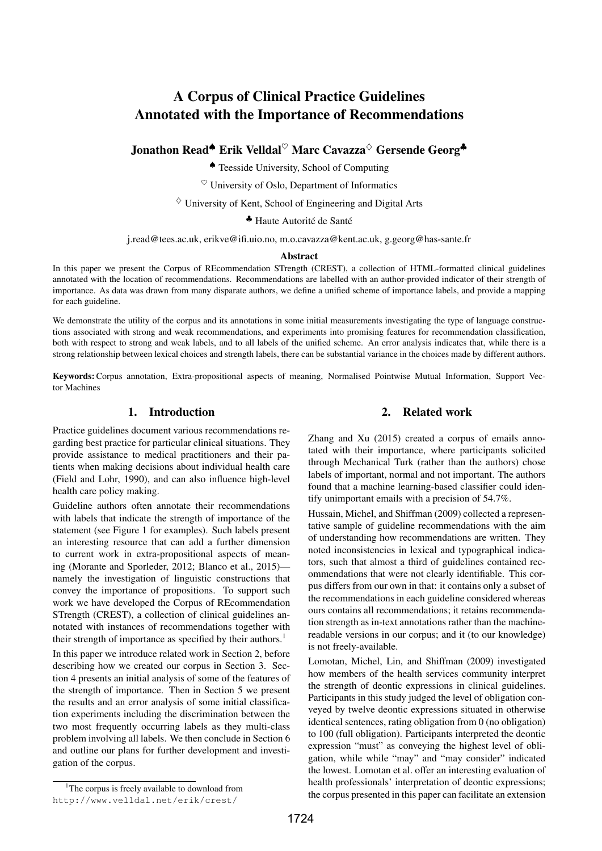# A Corpus of Clinical Practice Guidelines Annotated with the Importance of Recommendations

Jonathon Read*♠* Erik Velldal*♡* Marc Cavazza*♢* Gersende Georg*♣*

*♠* Teesside University, School of Computing

*♡* University of Oslo, Department of Informatics

*♢* University of Kent, School of Engineering and Digital Arts

<sup>▲</sup> Haute Autorité de Santé

j.read@tees.ac.uk, erikve@ifi.uio.no, m.o.cavazza@kent.ac.uk, g.georg@has-sante.fr

#### Abstract

In this paper we present the Corpus of REcommendation STrength (CREST), a collection of HTML-formatted clinical guidelines annotated with the location of recommendations. Recommendations are labelled with an author-provided indicator of their strength of importance. As data was drawn from many disparate authors, we define a unified scheme of importance labels, and provide a mapping for each guideline.

We demonstrate the utility of the corpus and its annotations in some initial measurements investigating the type of language constructions associated with strong and weak recommendations, and experiments into promising features for recommendation classification, both with respect to strong and weak labels, and to all labels of the unified scheme. An error analysis indicates that, while there is a strong relationship between lexical choices and strength labels, there can be substantial variance in the choices made by different authors.

Keywords:Corpus annotation, Extra-propositional aspects of meaning, Normalised Pointwise Mutual Information, Support Vector Machines

## 1. Introduction

Practice guidelines document various recommendations regarding best practice for particular clinical situations. They provide assistance to medical practitioners and their patients when making decisions about individual health care (Field and Lohr, 1990), and can also influence high-level health care policy making.

Guideline authors often annotate their recommendations with labels that indicate the strength of importance of the statement (see Figure 1 for examples). Such labels present an interesting resource that can add a further dimension to current work in extra-propositional aspects of meaning (Morante and Sporleder, 2012; Blanco et al., 2015) namely the investigation of linguistic constructions that convey the importance of propositions. To support such work we have developed the Corpus of REcommendation STrength (CREST), a collection of clinical guidelines annotated with instances of recommendations together with their strength of importance as specified by their authors.<sup>1</sup>

In this paper we introduce related work in Section 2, before describing how we created our corpus in Section 3. Section 4 presents an initial analysis of some of the features of the strength of importance. Then in Section 5 we present the results and an error analysis of some initial classification experiments including the discrimination between the two most frequently occurring labels as they multi-class problem involving all labels. We then conclude in Section 6 and outline our plans for further development and investigation of the corpus.

#### 2. Related work

Zhang and Xu (2015) created a corpus of emails annotated with their importance, where participants solicited through Mechanical Turk (rather than the authors) chose labels of important, normal and not important. The authors found that a machine learning-based classifier could identify unimportant emails with a precision of 54.7%.

Hussain, Michel, and Shiffman (2009) collected a representative sample of guideline recommendations with the aim of understanding how recommendations are written. They noted inconsistencies in lexical and typographical indicators, such that almost a third of guidelines contained recommendations that were not clearly identifiable. This corpus differs from our own in that: it contains only a subset of the recommendations in each guideline considered whereas ours contains all recommendations; it retains recommendation strength as in-text annotations rather than the machinereadable versions in our corpus; and it (to our knowledge) is not freely-available.

Lomotan, Michel, Lin, and Shiffman (2009) investigated how members of the health services community interpret the strength of deontic expressions in clinical guidelines. Participants in this study judged the level of obligation conveyed by twelve deontic expressions situated in otherwise identical sentences, rating obligation from 0 (no obligation) to 100 (full obligation). Participants interpreted the deontic expression "must" as conveying the highest level of obligation, while while "may" and "may consider" indicated the lowest. Lomotan et al. offer an interesting evaluation of health professionals' interpretation of deontic expressions; the corpus presented in this paper can facilitate an extension

<sup>&</sup>lt;sup>1</sup>The corpus is freely available to download from http://www.velldal.net/erik/crest/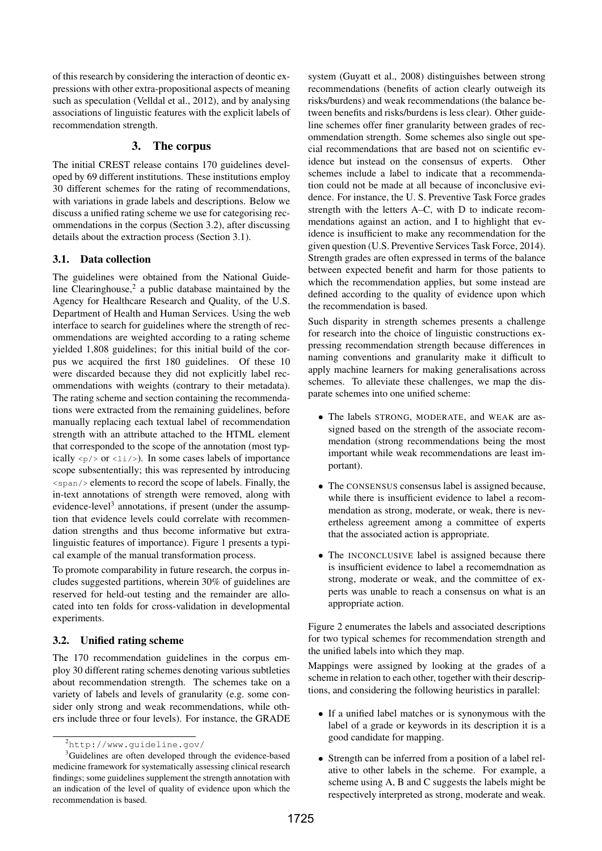of this research by considering the interaction of deontic expressions with other extra-propositional aspects of meaning such as speculation (Velldal et al., 2012), and by analysing associations of linguistic features with the explicit labels of recommendation strength.

#### 3. The corpus

The initial CREST release contains 170 guidelines developed by 69 different institutions. These institutions employ 30 different schemes for the rating of recommendations, with variations in grade labels and descriptions. Below we discuss a unified rating scheme we use for categorising recommendations in the corpus (Section 3.2), after discussing details about the extraction process (Section 3.1).

## 3.1. Data collection

The guidelines were obtained from the National Guideline Clearinghouse, $2$  a public database maintained by the Agency for Healthcare Research and Quality, of the U.S. Department of Health and Human Services. Using the web interface to search for guidelines where the strength of recommendations are weighted according to a rating scheme yielded 1,808 guidelines; for this initial build of the corpus we acquired the first 180 guidelines. Of these 10 were discarded because they did not explicitly label recommendations with weights (contrary to their metadata). The rating scheme and section containing the recommendations were extracted from the remaining guidelines, before manually replacing each textual label of recommendation strength with an attribute attached to the HTML element that corresponded to the scope of the annotation (most typically  $\langle p \rangle$  or  $\langle \exists i \rangle$ . In some cases labels of importance scope subsententially; this was represented by introducing <span/> elements to record the scope of labels. Finally, the in-text annotations of strength were removed, along with evidence-level<sup>3</sup> annotations, if present (under the assumption that evidence levels could correlate with recommendation strengths and thus become informative but extralinguistic features of importance). Figure 1 presents a typical example of the manual transformation process.

To promote comparability in future research, the corpus includes suggested partitions, wherein 30% of guidelines are reserved for held-out testing and the remainder are allocated into ten folds for cross-validation in developmental experiments.

#### 3.2. Unified rating scheme

The 170 recommendation guidelines in the corpus employ 30 different rating schemes denoting various subtleties about recommendation strength. The schemes take on a variety of labels and levels of granularity (e.g. some consider only strong and weak recommendations, while others include three or four levels). For instance, the GRADE system (Guyatt et al., 2008) distinguishes between strong recommendations (benefits of action clearly outweigh its risks/burdens) and weak recommendations (the balance between benefits and risks/burdens is less clear). Other guideline schemes offer finer granularity between grades of recommendation strength. Some schemes also single out special recommendations that are based not on scientific evidence but instead on the consensus of experts. Other schemes include a label to indicate that a recommendation could not be made at all because of inconclusive evidence. For instance, the U. S. Preventive Task Force grades strength with the letters A–C, with D to indicate recommendations against an action, and I to highlight that evidence is insufficient to make any recommendation for the given question (U.S. Preventive Services Task Force, 2014). Strength grades are often expressed in terms of the balance between expected benefit and harm for those patients to which the recommendation applies, but some instead are defined according to the quality of evidence upon which the recommendation is based.

Such disparity in strength schemes presents a challenge for research into the choice of linguistic constructions expressing recommendation strength because differences in naming conventions and granularity make it difficult to apply machine learners for making generalisations across schemes. To alleviate these challenges, we map the disparate schemes into one unified scheme:

- *•* The labels STRONG, MODERATE, and WEAK are assigned based on the strength of the associate recommendation (strong recommendations being the most important while weak recommendations are least important).
- *•* The CONSENSUS consensus label is assigned because, while there is insufficient evidence to label a recommendation as strong, moderate, or weak, there is nevertheless agreement among a committee of experts that the associated action is appropriate.
- The INCONCLUSIVE label is assigned because there is insufficient evidence to label a recomemdnation as strong, moderate or weak, and the committee of experts was unable to reach a consensus on what is an appropriate action.

Figure 2 enumerates the labels and associated descriptions for two typical schemes for recommendation strength and the unified labels into which they map.

Mappings were assigned by looking at the grades of a scheme in relation to each other, together with their descriptions, and considering the following heuristics in parallel:

- *•* If a unified label matches or is synonymous with the label of a grade or keywords in its description it is a good candidate for mapping.
- *•* Strength can be inferred from a position of a label relative to other labels in the scheme. For example, a scheme using A, B and C suggests the labels might be respectively interpreted as strong, moderate and weak.

<sup>2</sup>http://www.guideline.gov/

<sup>&</sup>lt;sup>3</sup>Guidelines are often developed through the evidence-based medicine framework for systematically assessing clinical research findings; some guidelines supplement the strength annotation with an indication of the level of quality of evidence upon which the recommendation is based.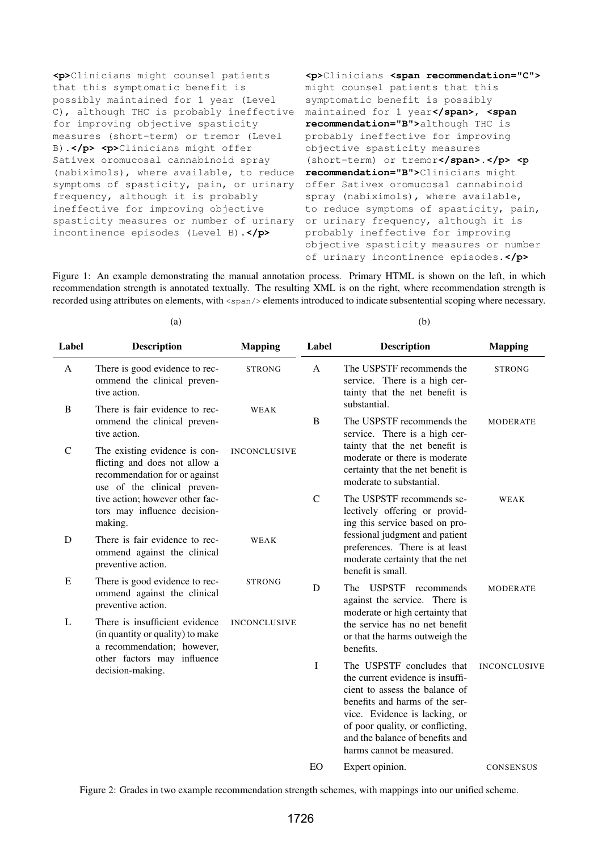**<p>**Clinicians might counsel patients that this symptomatic benefit is possibly maintained for 1 year (Level C), although THC is probably ineffective for improving objective spasticity measures (short-term) or tremor (Level B).**</p> <p>**Clinicians might offer Sativex oromucosal cannabinoid spray (nabiximols), where available, to reduce symptoms of spasticity, pain, or urinary frequency, although it is probably ineffective for improving objective spasticity measures or number of urinary incontinence episodes (Level B).**</p>**

**<p>**Clinicians **<span recommendation="C">** might counsel patients that this symptomatic benefit is possibly maintained for 1 year**</span>**, **<span recommendation="B">**although THC is probably ineffective for improving objective spasticity measures (short-term) or tremor**</span>**.**</p> <p recommendation="B">**Clinicians might offer Sativex oromucosal cannabinoid spray (nabiximols), where available, to reduce symptoms of spasticity, pain, or urinary frequency, although it is probably ineffective for improving objective spasticity measures or number of urinary incontinence episodes.**</p>**

Figure 1: An example demonstrating the manual annotation process. Primary HTML is shown on the left, in which recommendation strength is annotated textually. The resulting XML is on the right, where recommendation strength is recorded using attributes on elements, with  $\langle$ span $\rangle$  elements introduced to indicate subsentential scoping where necessary.

(b)

| Label       | <b>Description</b>                                                                                                             | <b>Mapping</b>      | Label         | <b>Description</b>                                                                                                                                                                                                                                                     | <b>Mapping</b>      |  |
|-------------|--------------------------------------------------------------------------------------------------------------------------------|---------------------|---------------|------------------------------------------------------------------------------------------------------------------------------------------------------------------------------------------------------------------------------------------------------------------------|---------------------|--|
| A           | There is good evidence to rec-<br>ommend the clinical preven-<br>tive action.                                                  | <b>STRONG</b>       | A             | The USPSTF recommends the<br>service. There is a high cer-<br>tainty that the net benefit is                                                                                                                                                                           | <b>STRONG</b>       |  |
| B           | There is fair evidence to rec-<br>ommend the clinical preven-<br>tive action.                                                  | WEAK                | B             | substantial.<br>The USPSTF recommends the<br>service. There is a high cer-                                                                                                                                                                                             | <b>MODERATE</b>     |  |
| $\mathbf C$ | The existing evidence is con-<br>flicting and does not allow a<br>recommendation for or against<br>use of the clinical preven- | <b>INCONCLUSIVE</b> |               | tainty that the net benefit is<br>moderate or there is moderate<br>certainty that the net benefit is<br>moderate to substantial.                                                                                                                                       |                     |  |
|             | tive action; however other fac-<br>tors may influence decision-<br>making.                                                     |                     | $\mathcal{C}$ | The USPSTF recommends se-<br>lectively offering or provid-<br>ing this service based on pro-                                                                                                                                                                           | WEAK                |  |
| D           | There is fair evidence to rec-<br>ommend against the clinical<br>preventive action.                                            | WEAK                |               | fessional judgment and patient<br>preferences. There is at least<br>moderate certainty that the net<br>benefit is small.                                                                                                                                               |                     |  |
| E           | There is good evidence to rec-<br>ommend against the clinical<br>preventive action.                                            | <b>STRONG</b>       | D             | The USPSTF<br>recommends<br>against the service. There is<br>moderate or high certainty that                                                                                                                                                                           | <b>MODERATE</b>     |  |
| L           | There is insufficient evidence<br>(in quantity or quality) to make<br>a recommendation; however,                               | <b>INCONCLUSIVE</b> |               | the service has no net benefit<br>or that the harms outweigh the<br>benefits.                                                                                                                                                                                          |                     |  |
|             | other factors may influence<br>decision-making.                                                                                |                     | I             | The USPSTF concludes that<br>the current evidence is insuffi-<br>cient to assess the balance of<br>benefits and harms of the ser-<br>vice. Evidence is lacking, or<br>of poor quality, or conflicting,<br>and the balance of benefits and<br>harms cannot be measured. | <b>INCONCLUSIVE</b> |  |
|             |                                                                                                                                |                     | EO            | Expert opinion.                                                                                                                                                                                                                                                        | <b>CONSENSUS</b>    |  |

Figure 2: Grades in two example recommendation strength schemes, with mappings into our unified scheme.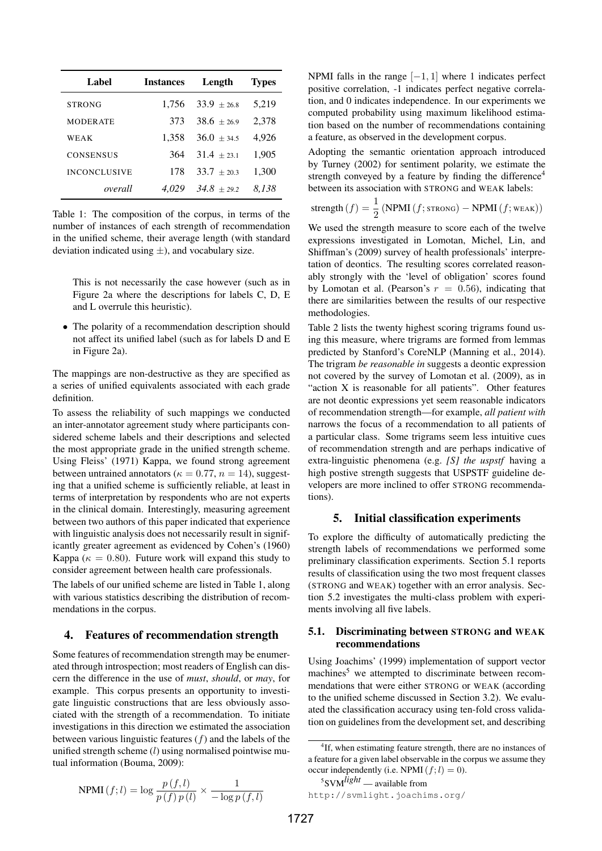| Label               | <b>Instances</b> | Length          | <b>Types</b> |
|---------------------|------------------|-----------------|--------------|
| <b>STRONG</b>       | 1.756            | $33.9 \pm 26.8$ | 5,219        |
| <b>MODERATE</b>     | 373              | $38.6 + 26.9$   | 2,378        |
| WEAK                | 1.358            | $36.0 \pm 34.5$ | 4,926        |
| <b>CONSENSUS</b>    | 364              | $31.4 \pm 23.1$ | 1,905        |
| <b>INCONCLUSIVE</b> | 178              | $33.7 + 20.3$   | 1,300        |
| overall             | 4.029            | $34.8 \pm 29.2$ | 8.138        |

Table 1: The composition of the corpus, in terms of the number of instances of each strength of recommendation in the unified scheme, their average length (with standard deviation indicated using *±*), and vocabulary size.

This is not necessarily the case however (such as in Figure 2a where the descriptions for labels C, D, E and L overrule this heuristic).

*•* The polarity of a recommendation description should not affect its unified label (such as for labels D and E in Figure 2a).

The mappings are non-destructive as they are specified as a series of unified equivalents associated with each grade definition.

To assess the reliability of such mappings we conducted an inter-annotator agreement study where participants considered scheme labels and their descriptions and selected the most appropriate grade in the unified strength scheme. Using Fleiss' (1971) Kappa, we found strong agreement between untrained annotators ( $\kappa = 0.77$ ,  $n = 14$ ), suggesting that a unified scheme is sufficiently reliable, at least in terms of interpretation by respondents who are not experts in the clinical domain. Interestingly, measuring agreement between two authors of this paper indicated that experience with linguistic analysis does not necessarily result in significantly greater agreement as evidenced by Cohen's (1960) Kappa ( $\kappa = 0.80$ ). Future work will expand this study to consider agreement between health care professionals.

The labels of our unified scheme are listed in Table 1, along with various statistics describing the distribution of recommendations in the corpus.

#### 4. Features of recommendation strength

Some features of recommendation strength may be enumerated through introspection; most readers of English can discern the difference in the use of *must*, *should*, or *may*, for example. This corpus presents an opportunity to investigate linguistic constructions that are less obviously associated with the strength of a recommendation. To initiate investigations in this direction we estimated the association between various linguistic features (*f*) and the labels of the unified strength scheme (*l*) using normalised pointwise mutual information (Bouma, 2009):

$$
NPMI (f;l) = \log \frac{p(f,l)}{p(f) p(l)} \times \frac{1}{-\log p(f,l)}
$$

NPMI falls in the range [*−*1*,* 1] where 1 indicates perfect positive correlation, -1 indicates perfect negative correlation, and 0 indicates independence. In our experiments we computed probability using maximum likelihood estimation based on the number of recommendations containing a feature, as observed in the development corpus.

Adopting the semantic orientation approach introduced by Turney (2002) for sentiment polarity, we estimate the strength conveyed by a feature by finding the difference<sup>4</sup> between its association with STRONG and WEAK labels:

$$
strength(f) = \frac{1}{2}(NPMI(f;STRONG) - NPMI(f;WEAK))
$$

We used the strength measure to score each of the twelve expressions investigated in Lomotan, Michel, Lin, and Shiffman's (2009) survey of health professionals' interpretation of deontics. The resulting scores correlated reasonably strongly with the 'level of obligation' scores found by Lomotan et al. (Pearson's  $r = 0.56$ ), indicating that there are similarities between the results of our respective methodologies.

Table 2 lists the twenty highest scoring trigrams found using this measure, where trigrams are formed from lemmas predicted by Stanford's CoreNLP (Manning et al., 2014). The trigram *be reasonable in* suggests a deontic expression not covered by the survey of Lomotan et al. (2009), as in "action X is reasonable for all patients". Other features are not deontic expressions yet seem reasonable indicators of recommendation strength—for example, *all patient with* narrows the focus of a recommendation to all patients of a particular class. Some trigrams seem less intuitive cues of recommendation strength and are perhaps indicative of extra-linguistic phenomena (e.g. *[S] the uspstf* having a high postive strength suggests that USPSTF guideline developers are more inclined to offer STRONG recommendations).

## 5. Initial classification experiments

To explore the difficulty of automatically predicting the strength labels of recommendations we performed some preliminary classification experiments. Section 5.1 reports results of classification using the two most frequent classes (STRONG and WEAK) together with an error analysis. Section 5.2 investigates the multi-class problem with experiments involving all five labels.

#### 5.1. Discriminating between STRONG and WEAK recommendations

Using Joachims' (1999) implementation of support vector machines<sup>5</sup> we attempted to discriminate between recommendations that were either STRONG or WEAK (according to the unified scheme discussed in Section 3.2). We evaluated the classification accuracy using ten-fold cross validation on guidelines from the development set, and describing

```
5
SVMlight — available from
```
http://svmlight.joachims.org/

<sup>4</sup> If, when estimating feature strength, there are no instances of a feature for a given label observable in the corpus we assume they occur independently (i.e. NPMI $(f; l) = 0$ ).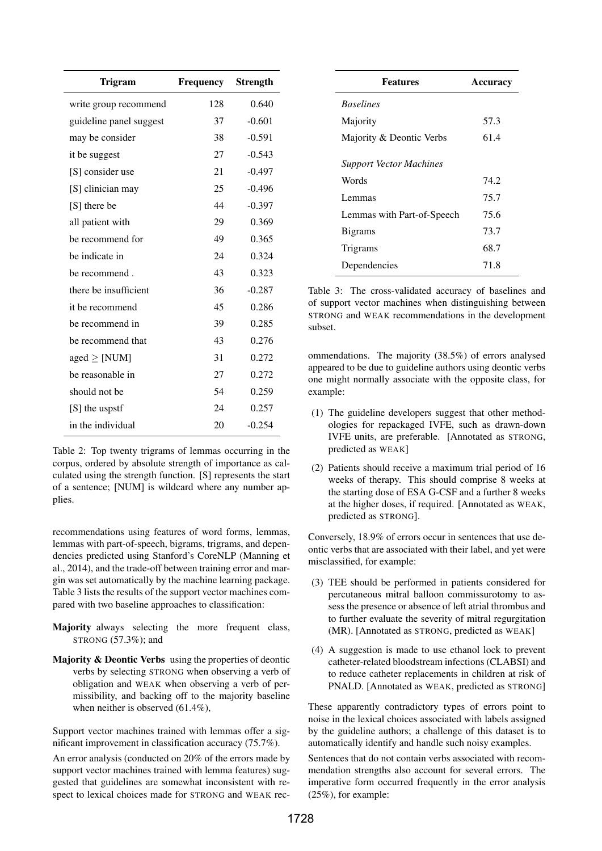| <b>Trigram</b>          | Frequency | <b>Strength</b> |
|-------------------------|-----------|-----------------|
| write group recommend   | 128       | 0.640           |
| guideline panel suggest | 37        | $-0.601$        |
| may be consider         | 38        | $-0.591$        |
| it be suggest           | 27        | $-0.543$        |
| [S] consider use        | 21        | $-0.497$        |
| [S] clinician may       | 25        | $-0.496$        |
| [S] there be            | 44        | $-0.397$        |
| all patient with        | 29        | 0.369           |
| be recommend for        | 49        | 0.365           |
| be indicate in          | 24        | 0.324           |
| be recommend.           | 43        | 0.323           |
| there be insufficient   | 36        | $-0.287$        |
| it be recommend         | 45        | 0.286           |
| be recommend in         | 39        | 0.285           |
| be recommend that       | 43        | 0.276           |
| aged $\geq$ [NUM]       | 31        | 0.272           |
| be reasonable in        | 27        | 0.272           |
| should not be           | 54        | 0.259           |
| [S] the uspstf          | 24        | 0.257           |
| in the individual       | 20        | $-0.254$        |

Table 2: Top twenty trigrams of lemmas occurring in the corpus, ordered by absolute strength of importance as calculated using the strength function. [S] represents the start of a sentence; [NUM] is wildcard where any number applies.

recommendations using features of word forms, lemmas, lemmas with part-of-speech, bigrams, trigrams, and dependencies predicted using Stanford's CoreNLP (Manning et al., 2014), and the trade-off between training error and margin was set automatically by the machine learning package. Table 3 lists the results of the support vector machines compared with two baseline approaches to classification:

- Majority always selecting the more frequent class, STRONG (57.3%); and
- Majority & Deontic Verbs using the properties of deontic verbs by selecting STRONG when observing a verb of obligation and WEAK when observing a verb of permissibility, and backing off to the majority baseline when neither is observed (61.4%),

Support vector machines trained with lemmas offer a significant improvement in classification accuracy (75.7%).

An error analysis (conducted on 20% of the errors made by support vector machines trained with lemma features) suggested that guidelines are somewhat inconsistent with respect to lexical choices made for STRONG and WEAK rec-

| <b>Features</b>                | Accuracy |
|--------------------------------|----------|
| <b>Baselines</b>               |          |
| Majority                       | 57.3     |
| Majority & Deontic Verbs       | 61.4     |
| <b>Support Vector Machines</b> |          |
| Words                          | 74.2     |
| Lemmas                         | 75.7     |
| Lemmas with Part-of-Speech     | 75.6     |
| <b>Bigrams</b>                 | 73.7     |
| Trigrams                       | 68.7     |
| Dependencies                   | 71.8     |

Table 3: The cross-validated accuracy of baselines and of support vector machines when distinguishing between STRONG and WEAK recommendations in the development subset.

ommendations. The majority (38.5%) of errors analysed appeared to be due to guideline authors using deontic verbs one might normally associate with the opposite class, for example:

- (1) The guideline developers suggest that other methodologies for repackaged IVFE, such as drawn-down IVFE units, are preferable. [Annotated as STRONG, predicted as WEAK]
- (2) Patients should receive a maximum trial period of 16 weeks of therapy. This should comprise 8 weeks at the starting dose of ESA G-CSF and a further 8 weeks at the higher doses, if required. [Annotated as WEAK, predicted as STRONG].

Conversely, 18.9% of errors occur in sentences that use deontic verbs that are associated with their label, and yet were misclassified, for example:

- (3) TEE should be performed in patients considered for percutaneous mitral balloon commissurotomy to assess the presence or absence of left atrial thrombus and to further evaluate the severity of mitral regurgitation (MR). [Annotated as STRONG, predicted as WEAK]
- (4) A suggestion is made to use ethanol lock to prevent catheter-related bloodstream infections (CLABSI) and to reduce catheter replacements in children at risk of PNALD. [Annotated as WEAK, predicted as STRONG]

These apparently contradictory types of errors point to noise in the lexical choices associated with labels assigned by the guideline authors; a challenge of this dataset is to automatically identify and handle such noisy examples.

Sentences that do not contain verbs associated with recommendation strengths also account for several errors. The imperative form occurred frequently in the error analysis (25%), for example: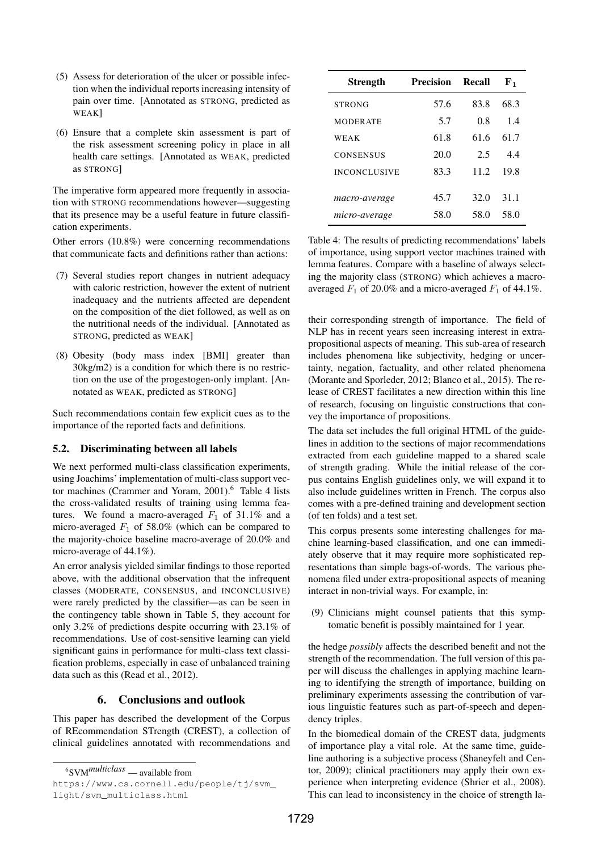- (5) Assess for deterioration of the ulcer or possible infection when the individual reports increasing intensity of pain over time. [Annotated as STRONG, predicted as WEAK]
- (6) Ensure that a complete skin assessment is part of the risk assessment screening policy in place in all health care settings. [Annotated as WEAK, predicted as STRONG]

The imperative form appeared more frequently in association with STRONG recommendations however—suggesting that its presence may be a useful feature in future classification experiments.

Other errors (10.8%) were concerning recommendations that communicate facts and definitions rather than actions:

- (7) Several studies report changes in nutrient adequacy with caloric restriction, however the extent of nutrient inadequacy and the nutrients affected are dependent on the composition of the diet followed, as well as on the nutritional needs of the individual. [Annotated as STRONG, predicted as WEAK]
- (8) Obesity (body mass index [BMI] greater than 30kg/m2) is a condition for which there is no restriction on the use of the progestogen-only implant. [Annotated as WEAK, predicted as STRONG]

Such recommendations contain few explicit cues as to the importance of the reported facts and definitions.

#### 5.2. Discriminating between all labels

We next performed multi-class classification experiments, using Joachims' implementation of multi-class support vector machines (Crammer and Yoram, 2001).<sup>6</sup> Table 4 lists the cross-validated results of training using lemma features. We found a macro-averaged  $F_1$  of 31.1% and a micro-averaged  $F_1$  of 58.0% (which can be compared to the majority-choice baseline macro-average of 20.0% and micro-average of 44.1%).

An error analysis yielded similar findings to those reported above, with the additional observation that the infrequent classes (MODERATE, CONSENSUS, and INCONCLUSIVE) were rarely predicted by the classifier—as can be seen in the contingency table shown in Table 5, they account for only 3.2% of predictions despite occurring with 23.1% of recommendations. Use of cost-sensitive learning can yield significant gains in performance for multi-class text classification problems, especially in case of unbalanced training data such as this (Read et al., 2012).

## 6. Conclusions and outlook

This paper has described the development of the Corpus of REcommendation STrength (CREST), a collection of clinical guidelines annotated with recommendations and

| <b>Strength</b>     | <b>Precision</b> | Recall | ${\bf F_1}$ |
|---------------------|------------------|--------|-------------|
| <b>STRONG</b>       | 57.6             | 83.8   | 68.3        |
| <b>MODERATE</b>     | 5.7              | 0.8    | 1.4         |
| WEAK                | 61.8             | 61.6   | 61.7        |
| <b>CONSENSUS</b>    | 20.0             | 2.5    | 4.4         |
| <b>INCONCLUSIVE</b> | 83.3             | 11.2   | 19.8        |
|                     |                  |        |             |
| macro-average       | 45.7             | 32.0   | 31.1        |
| micro-average       | 58.0             | 58.0   | 58.0        |

Table 4: The results of predicting recommendations' labels of importance, using support vector machines trained with lemma features. Compare with a baseline of always selecting the majority class (STRONG) which achieves a macroaveraged  $F_1$  of 20.0% and a micro-averaged  $F_1$  of 44.1%.

their corresponding strength of importance. The field of NLP has in recent years seen increasing interest in extrapropositional aspects of meaning. This sub-area of research includes phenomena like subjectivity, hedging or uncertainty, negation, factuality, and other related phenomena (Morante and Sporleder, 2012; Blanco et al., 2015). The release of CREST facilitates a new direction within this line of research, focusing on linguistic constructions that convey the importance of propositions.

The data set includes the full original HTML of the guidelines in addition to the sections of major recommendations extracted from each guideline mapped to a shared scale of strength grading. While the initial release of the corpus contains English guidelines only, we will expand it to also include guidelines written in French. The corpus also comes with a pre-defined training and development section (of ten folds) and a test set.

This corpus presents some interesting challenges for machine learning-based classification, and one can immediately observe that it may require more sophisticated representations than simple bags-of-words. The various phenomena filed under extra-propositional aspects of meaning interact in non-trivial ways. For example, in:

(9) Clinicians might counsel patients that this symptomatic benefit is possibly maintained for 1 year.

the hedge *possibly* affects the described benefit and not the strength of the recommendation. The full version of this paper will discuss the challenges in applying machine learning to identifying the strength of importance, building on preliminary experiments assessing the contribution of various linguistic features such as part-of-speech and dependency triples.

In the biomedical domain of the CREST data, judgments of importance play a vital role. At the same time, guideline authoring is a subjective process (Shaneyfelt and Centor, 2009); clinical practitioners may apply their own experience when interpreting evidence (Shrier et al., 2008). This can lead to inconsistency in the choice of strength la-

<sup>6</sup> SVM*multiclass* — available from

https://www.cs.cornell.edu/people/tj/svm\_ light/svm\_multiclass.html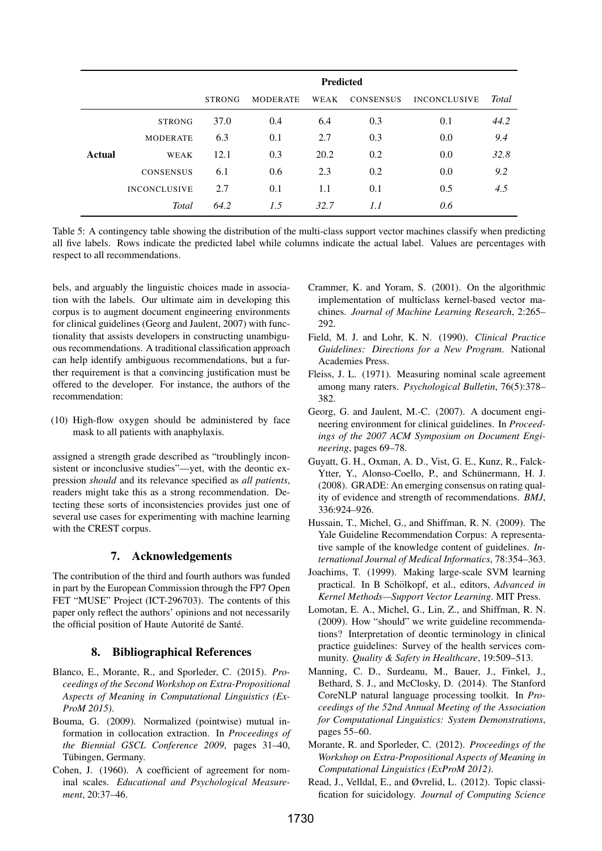|        |                     | <b>Predicted</b> |                 |      |                  |                     |              |
|--------|---------------------|------------------|-----------------|------|------------------|---------------------|--------------|
|        |                     | <b>STRONG</b>    | <b>MODERATE</b> | WEAK | <b>CONSENSUS</b> | <b>INCONCLUSIVE</b> | <b>Total</b> |
|        | <b>STRONG</b>       | 37.0             | 0.4             | 6.4  | 0.3              | 0.1                 | 44.2         |
|        | <b>MODERATE</b>     | 6.3              | 0.1             | 2.7  | 0.3              | 0.0                 | 9.4          |
| Actual | WEAK                | 12.1             | 0.3             | 20.2 | 0.2              | 0.0                 | 32.8         |
|        | <b>CONSENSUS</b>    | 6.1              | 0.6             | 2.3  | 0.2              | 0.0                 | 9.2          |
|        | <b>INCONCLUSIVE</b> | 2.7              | 0.1             | 1.1  | 0.1              | 0.5                 | 4.5          |
|        | <b>Total</b>        | 64.2             | 1.5             | 32.7 | 1.1              | 0.6                 |              |

Table 5: A contingency table showing the distribution of the multi-class support vector machines classify when predicting all five labels. Rows indicate the predicted label while columns indicate the actual label. Values are percentages with respect to all recommendations.

bels, and arguably the linguistic choices made in association with the labels. Our ultimate aim in developing this corpus is to augment document engineering environments for clinical guidelines (Georg and Jaulent, 2007) with functionality that assists developers in constructing unambiguous recommendations. A traditional classification approach can help identify ambiguous recommendations, but a further requirement is that a convincing justification must be offered to the developer. For instance, the authors of the recommendation:

(10) High-flow oxygen should be administered by face mask to all patients with anaphylaxis.

assigned a strength grade described as "troublingly inconsistent or inconclusive studies"—yet, with the deontic expression *should* and its relevance specified as *all patients*, readers might take this as a strong recommendation. Detecting these sorts of inconsistencies provides just one of several use cases for experimenting with machine learning with the CREST corpus.

## 7. Acknowledgements

The contribution of the third and fourth authors was funded in part by the European Commission through the FP7 Open FET "MUSE" Project (ICT-296703). The contents of this paper only reflect the authors' opinions and not necessarily the official position of Haute Autorité de Santé.

## 8. Bibliographical References

- Blanco, E., Morante, R., and Sporleder, C. (2015). *Proceedings of the Second Workshop on Extra-Propositional Aspects of Meaning in Computational Linguistics (Ex-ProM 2015)*.
- Bouma, G. (2009). Normalized (pointwise) mutual information in collocation extraction. In *Proceedings of the Biennial GSCL Conference 2009*, pages 31–40, Tübingen, Germany.
- Cohen, J. (1960). A coefficient of agreement for nominal scales. *Educational and Psychological Measurement*, 20:37–46.
- Crammer, K. and Yoram, S. (2001). On the algorithmic implementation of multiclass kernel-based vector machines. *Journal of Machine Learning Research*, 2:265– 292.
- Field, M. J. and Lohr, K. N. (1990). *Clinical Practice Guidelines: Directions for a New Program*. National Academies Press.
- Fleiss, J. L. (1971). Measuring nominal scale agreement among many raters. *Psychological Bulletin*, 76(5):378– 382.
- Georg, G. and Jaulent, M.-C. (2007). A document engineering environment for clinical guidelines. In *Proceedings of the 2007 ACM Symposium on Document Engineering*, pages 69–78.
- Guyatt, G. H., Oxman, A. D., Vist, G. E., Kunz, R., Falck-Ytter, Y., Alonso-Coello, P., and Schünermann, H. J. (2008). GRADE: An emerging consensus on rating quality of evidence and strength of recommendations. *BMJ*, 336:924–926.
- Hussain, T., Michel, G., and Shiffman, R. N. (2009). The Yale Guideline Recommendation Corpus: A representative sample of the knowledge content of guidelines. *International Journal of Medical Informatics*, 78:354–363.
- Joachims, T. (1999). Making large-scale SVM learning practical. In B Schölkopf, et al., editors, *Advanced in Kernel Methods—Support Vector Learning*. MIT Press.
- Lomotan, E. A., Michel, G., Lin, Z., and Shiffman, R. N. (2009). How "should" we write guideline recommendations? Interpretation of deontic terminology in clinical practice guidelines: Survey of the health services community. *Quality & Safety in Healthcare*, 19:509–513.
- Manning, C. D., Surdeanu, M., Bauer, J., Finkel, J., Bethard, S. J., and McClosky, D. (2014). The Stanford CoreNLP natural language processing toolkit. In *Proceedings of the 52nd Annual Meeting of the Association for Computational Linguistics: System Demonstrations*, pages 55–60.
- Morante, R. and Sporleder, C. (2012). *Proceedings of the Workshop on Extra-Propositional Aspects of Meaning in Computational Linguistics (ExProM 2012)*.
- Read, J., Velldal, E., and Øvrelid, L. (2012). Topic classification for suicidology. *Journal of Computing Science*